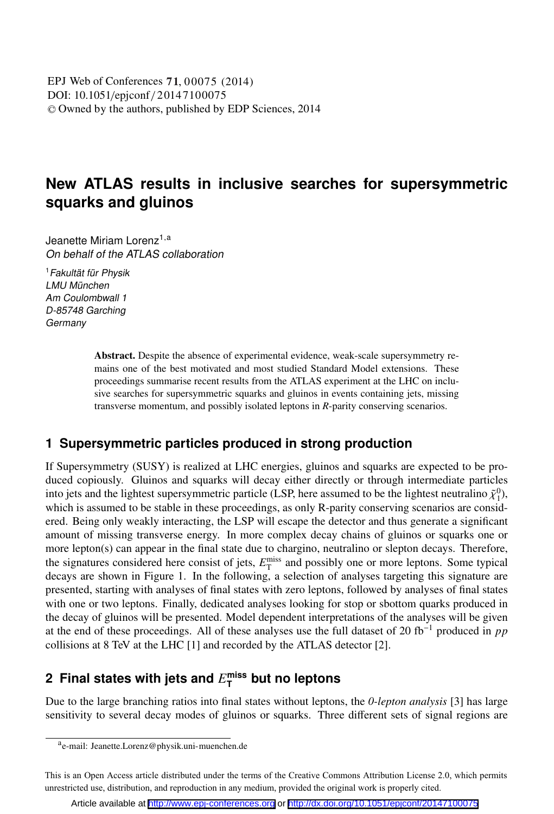DOI: 10.1051/epjconf/20147100075 -<sup>C</sup> Owned by the authors, published by EDP Sciences, 2014 , 00075 (2014) EPJ Web of Conferences **71**

# **New ATLAS results in inclusive searches for supersymmetric squarks and gluinos**

Jeanette Miriam Lorenz<br>On behalf of the ATLAS collaboration

<sup>1</sup>Fakultät für Physik LMU München Am Coulombwall 1 D-85748 Garching **Germany** 

> Abstract. Despite the absence of experimental evidence, weak-scale supersymmetry remains one of the best motivated and most studied Standard Model extensions. These proceedings summarise recent results from the ATLAS experiment at the LHC on inclusive searches for supersymmetric squarks and gluinos in events containing jets, missing transverse momentum, and possibly isolated leptons in *R*-parity conserving scenarios.

## **1 Supersymmetric particles produced in strong production**

If Supersymmetry (SUSY) is realized at LHC energies, gluinos and squarks are expected to be produced copiously. Gluinos and squarks will decay either directly or through intermediate particles into jets and the lightest supersymmetric particle (LSP, here assumed to be the lightest neutralino  $\tilde{\chi}_1^0$ ), which is assumed to be stable in these proceedings, as only R-parity conserving scenarios are considwhich is assumed to be stable in these proceedings, as only R-parity conserving scenarios are considered. Being only weakly interacting, the LSP will escape the detector and thus generate a significant amount of missing transverse energy. In more complex decay chains of gluinos or squarks one or more lepton(s) can appear in the final state due to chargino, neutralino or slepton decays. Therefore, the signatures considered here consist of jets,  $E_T^{\text{miss}}$  and possibly one or more leptons. Some typical decays are shown in Figure 1. In the following, a selection of analyses targeting this signature are presented, starting with analyses of final states with zero leptons, followed by analyses of final states with one or two leptons. Finally, dedicated analyses looking for stop or sbottom quarks produced in the decay of gluinos will be presented. Model dependent interpretations of the analyses will be given at the end of these proceedings. All of these analyses use the full dataset of 20 fb−<sup>1</sup> produced in *pp* collisions at 8 TeV at the LHC [1] and recorded by the ATLAS detector [2].

# **2 Final states with jets and** *E***miss <sup>T</sup> but no leptons**

Due to the large branching ratios into final states without leptons, the *0-lepton analysis* [3] has large sensitivity to several decay modes of gluinos or squarks. Three different sets of signal regions are

ae-mail: Jeanette.Lorenz@physik.uni-muenchen.de

This is an Open Access article distributed under the terms of the Creative Commons Attribution License 2.0, which permits unrestricted use, distribution, and reproduction in any medium, provided the original work is properly cited.

Article available at <http://www.epj-conferences.org> or <http://dx.doi.org/10.1051/epjconf/20147100075>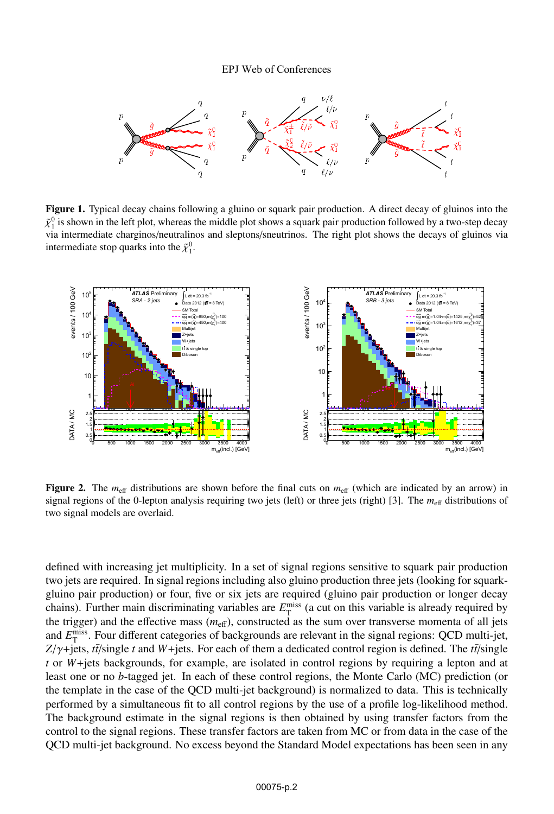#### EPJ Web of Conferences



Figure 1. Typical decay chains following a gluino or squark pair production. A direct decay of gluinos into the  $\tilde{\chi}_1^0$  is shown in the left plot, whereas the middle plot shows a squark pair production followed by a two-step decay<br>via intermediate charginos/neutralinos and sleptons/speutrinos. The right plot shows the decays of via intermediate charginos/neutralinos and sleptons/sneutrinos. The right plot shows the decays of gluinos via intermediate stop quarks into the  $\tilde{\chi}_1^0$ .



**Figure 2.** The  $m_{\text{eff}}$  distributions are shown before the final cuts on  $m_{\text{eff}}$  (which are indicated by an arrow) in signal regions of the 0-lepton analysis requiring two jets (left) or three jets (right) [3]. The  $m_{\text{eff}}$  distributions of two signal models are overlaid.

defined with increasing jet multiplicity. In a set of signal regions sensitive to squark pair production two jets are required. In signal regions including also gluino production three jets (looking for squarkgluino pair production) or four, five or six jets are required (gluino pair production or longer decay chains). Further main discriminating variables are  $E_{\text{T}}^{\text{miss}}$  (a cut on this variable is already required by the trigger) and the effective mass ( $m_{\text{eff}}$ ), constructed as the sum over transverse momenta of all jets and  $E_{\text{T}}^{\text{miss}}$ . Four different categories of backgrounds are relevant in the signal regions: QCD multi-jet,  $Z/\gamma$ +jets, *tt*<sup>*[single t* and *W*+jets. For each of them a dedicated control region is defined. The *tt*<sup>*[single t* or *W*+jets backgrounds for example, are isolated in control regions by requiring a lepton and at</sup></sup> *t* or *W*+jets backgrounds, for example, are isolated in control regions by requiring a lepton and at least one or no *b*-tagged jet. In each of these control regions, the Monte Carlo (MC) prediction (or the template in the case of the QCD multi-jet background) is normalized to data. This is technically performed by a simultaneous fit to all control regions by the use of a profile log-likelihood method. The background estimate in the signal regions is then obtained by using transfer factors from the control to the signal regions. These transfer factors are taken from MC or from data in the case of the QCD multi-jet background. No excess beyond the Standard Model expectations has been seen in any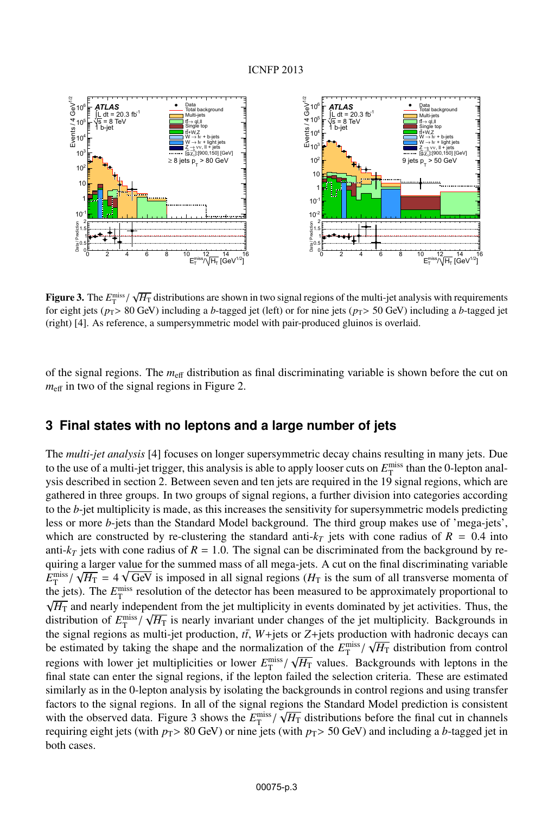

**Figure 3.** The  $E_{\text{miss}}^{\text{miss}} / \sqrt{H_{\text{T}}}$  distributions are shown in two signal regions of the multi-jet analysis with requirements for eight jets ( $p_{\text{max}}$  SO GeV) including a *b*-tagged jet Figure 5. The  $L_T$  / V<sub>IT</sub> distributions are shown in two signal regions of the main jet analysis what requirements for eight jets ( $p_T$ > 80 GeV) including a *b*-tagged jet (left) or for nine jets ( $p_T$ > 50 GeV) including (right) [4]. As reference, a sumpersymmetric model with pair-produced gluinos is overlaid.

of the signal regions. The  $m_{\text{eff}}$  distribution as final discriminating variable is shown before the cut on  $m_{\text{eff}}$  in two of the signal regions in Figure 2.

### **3 Final states with no leptons and a large number of jets**

The *multi-jet analysis* [4] focuses on longer supersymmetric decay chains resulting in many jets. Due to the use of a multi-jet trigger, this analysis is able to apply looser cuts on  $E_{\rm T}^{\rm miss}$  than the 0-lepton analysis described in section 2. Between seven and ten jets are required in the 19 signal regions, which are gathered in three groups. In two groups of signal regions, a further division into categories according to the *b*-jet multiplicity is made, as this increases the sensitivity for supersymmetric models predicting less or more *b*-jets than the Standard Model background. The third group makes use of 'mega-jets', which are constructed by re-clustering the standard anti- $k_T$  jets with cone radius of  $R = 0.4$  into anti- $k_T$  jets with cone radius of  $R = 1.0$ . The signal can be discriminated from the background by requiring a larger value for the summed mass of all mega-jets. A cut on the final discriminating variable  $E_T^{\text{miss}} / \sqrt{H_T} = 4 \sqrt{\text{GeV}}$  is imposed in all signal regions ( $H_T$  is the sum of all transverse momenta of  $E_T^{\text{max}}$  /  $\sqrt{11}$  =  $\rightarrow$  V GeV is imposed in an signal regions  $\left\langle T_1 \right\rangle$  is the sum of an dansverse momenta of the jets). The  $E_T^{\text{miss}}$  resolution of the detector has been measured to be approximately proportiona  $\sqrt{H_{\rm T}}$  and nearly independent from the jet multiplicity in events dominated by jet activities. Thus, the  $\frac{1}{\sqrt{H_{\text{H}}}}$  is nearly invariant under changes of the jet multiplicity. Backgrounds in distribution of  $E_{\text{T}}^{\text{miss}}/\sqrt{H_{\text{T}}}$  is nearly invariant under changes of the jet multiplicity. Backgrounds in the signal regions as multi-jet production,  $t\bar{t}$ ,  $W+$ jets or  $Z+$ jets production with hadronic decays can be estimated by taking the shape and the normalization of the  $E_T^{\text{miss}}/\sqrt{H_T}$  distribution from control regions with lower jet multiplicities or lower  $E_T^{\text{miss}} / \sqrt{H_T}$  values. Backgrounds with leptons in the The final state can enter the signal regions, if the lepton failed the selection criteria. These are estimated final state can enter the signal regions, if the lepton failed the selection criteria. These are estimated similarly as in the 0-lepton analysis by isolating the backgrounds in control regions and using transfer factors to the signal regions. In all of the signal regions the Standard Model prediction is consistent with the observed data. Figure 3 shows the  $E_T^{\text{miss}} / \sqrt{H_T}$  distributions before the final cut in channels From the conserved data. Figure 5 shows the  $L_T$  /  $\sqrt{H_1}$  distributions before the final ear in entances requiring eight jets (with  $p_T > 80$  GeV) or nine jets (with  $p_T > 50$  GeV) and including a *b*-tagged jet in both cases.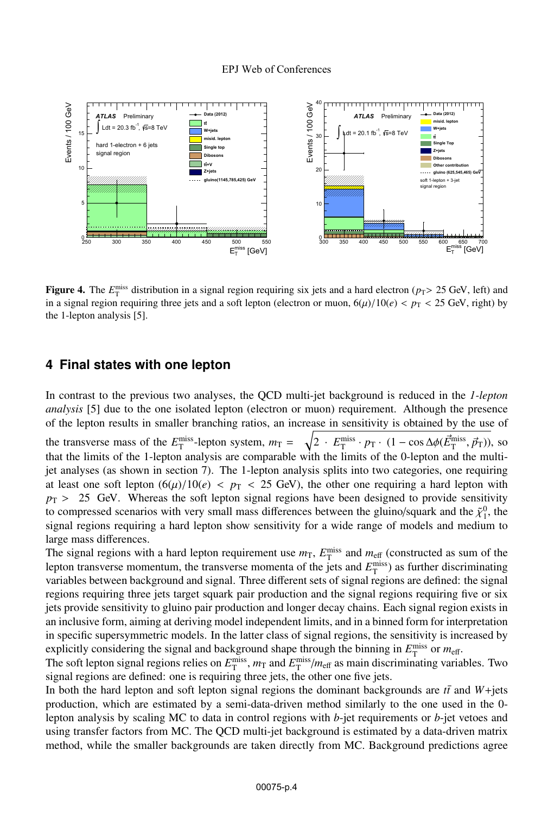

**Figure 4.** The  $E_T^{\text{miss}}$  distribution in a signal region requiring six jets and a hard electron (*p*<sub>T</sub>> 25 GeV, left) and<br>in a signal requiring three jets and a soft lepton (electron or muon 6(*u*)/10(*e*) <  $p_m$  < 25 in a signal region requiring three jets and a soft lepton (electron or muon,  $6(\mu)/10(e) < p_T < 25$  GeV, right) by the 1-lepton analysis [5].

### **4 Final states with one lepton**

In contrast to the previous two analyses, the QCD multi-jet background is reduced in the *1-lepton analysis* [5] due to the one isolated lepton (electron or muon) requirement. Although the presence of the lepton results in smaller branching ratios, an increase in sensitivity is obtained by the use of the transverse mass of the *E*<sup>miss</sup>-lepton system,  $m_T = \sqrt{2 \cdot E_T^{\text{miss}} \cdot p_T \cdot (1 - \cos \Delta \phi(\vec{E}_T^{\text{miss}}, \vec{p}_T))}$ , so that the limits of the 1 lepton analysis are comparable with the limits of the 0 lepton and the multithat the limits of the 1-lepton analysis are comparable with the limits of the 0-lepton and the multijet analyses (as shown in section 7). The 1-lepton analysis splits into two categories, one requiring at least one soft lepton  $(6(\mu)/10(e) < p_T < 25$  GeV), the other one requiring a hard lepton with  $p_T$  > 25 GeV. Whereas the soft lepton signal regions have been designed to provide sensitivity to compressed scenarios with very small mass differences between the gluino/squark and the  $\tilde{\chi}_1^0$ , the signal regions requiring a hard lepton show sensitivity for a wide range of models and medium to signal regions requiring a hard lepton show sensitivity for a wide range of models and medium to large mass differences.

The signal regions with a hard lepton requirement use  $m<sub>T</sub>$ ,  $E_T^{\text{miss}}$  and  $m<sub>eff</sub>$  (constructed as sum of the lepton transverse momentum, the transverse momenta of the jets and  $E_T^{\text{miss}}$ ) as further discriminating variables between background and signal. Three different sets of signal regions are defined: the signal regions requiring three jets target squark pair production and the signal regions requiring five or six jets provide sensitivity to gluino pair production and longer decay chains. Each signal region exists in an inclusive form, aiming at deriving model independent limits, and in a binned form for interpretation in specific supersymmetric models. In the latter class of signal regions, the sensitivity is increased by explicitly considering the signal and background shape through the binning in  $E_{\rm T}^{\rm miss}$  or  $m_{\rm eff}$ .

The soft lepton signal regions relies on  $E_T^{\text{miss}}$ ,  $m_T$  and  $E_T^{\text{miss}}/m_{\text{eff}}$  as main discriminating variables. Two signal regions are defined: one is requiring three jets, the other one five jets.

In both the hard lepton and soft lepton signal regions the dominant backgrounds are  $t\bar{t}$  and  $W +$ jets production, which are estimated by a semi-data-driven method similarly to the one used in the 0 lepton analysis by scaling MC to data in control regions with *b*-jet requirements or *b*-jet vetoes and using transfer factors from MC. The QCD multi-jet background is estimated by a data-driven matrix method, while the smaller backgrounds are taken directly from MC. Background predictions agree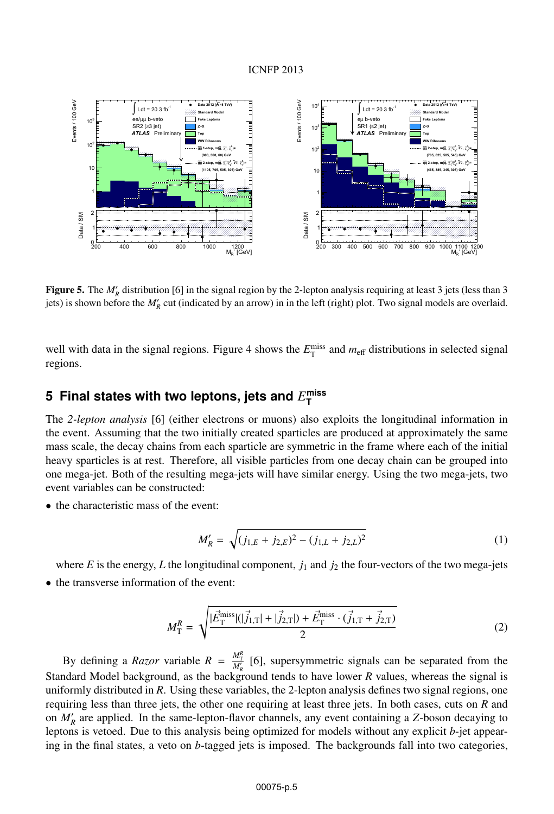### ICNFP 2013



**Figure 5.** The  $M'_R$  distribution [6] in the signal region by the 2-lepton analysis requiring at least 3 jets (less than 3 jets) is shown before the  $M'$  cut (indicated by an arrow) in in the left (right) plot. Two signa jets) is shown before the  $M'_R$  cut (indicated by an arrow) in in the left (right) plot. Two signal models are overlaid.

well with data in the signal regions. Figure 4 shows the  $E_T^{\text{miss}}$  and  $m_{\text{eff}}$  distributions in selected signal regions.

# $\bf 5$  Final states with two leptons, jets and  $E_{\textsf{T}}^{\textsf{miss}}$

The *2-lepton analysis* [6] (either electrons or muons) also exploits the longitudinal information in the event. Assuming that the two initially created sparticles are produced at approximately the same mass scale, the decay chains from each sparticle are symmetric in the frame where each of the initial heavy sparticles is at rest. Therefore, all visible particles from one decay chain can be grouped into one mega-jet. Both of the resulting mega-jets will have similar energy. Using the two mega-jets, two event variables can be constructed:

• the characteristic mass of the event:

$$
M'_{R} = \sqrt{(j_{1,E} + j_{2,E})^2 - (j_{1,L} + j_{2,L})^2}
$$
 (1)

where  $E$  is the energy,  $L$  the longitudinal component,  $j_1$  and  $j_2$  the four-vectors of the two mega-jets

• the transverse information of the event:

$$
M_{\rm T}^R = \sqrt{\frac{|\vec{E}_{\rm T}^{\rm miss}|(|\vec{j}_{1,\rm T}| + |\vec{j}_{2,\rm T}|) + \vec{E}_{\rm T}^{\rm miss} \cdot (\vec{j}_{1,\rm T} + \vec{j}_{2,\rm T})}{2}} \tag{2}
$$

By defining a *Razor* variable  $R = \frac{M_T^R}{M_R}$  [6], supersymmetric signals can be separated from the Standard Model background, as the background tends to have lower *R* values, whereas the signal is uniformly distributed in *R*. Using these variables, the 2-lepton analysis defines two signal regions, one requiring less than three jets, the other one requiring at least three jets. In both cases, cuts on *R* and on *M <sup>R</sup>* are applied. In the same-lepton-flavor channels, any event containing a *Z*-boson decaying to leptons is vetoed. Due to this analysis being optimized for models without any explicit *b*-jet appearing in the final states, a veto on *b*-tagged jets is imposed. The backgrounds fall into two categories,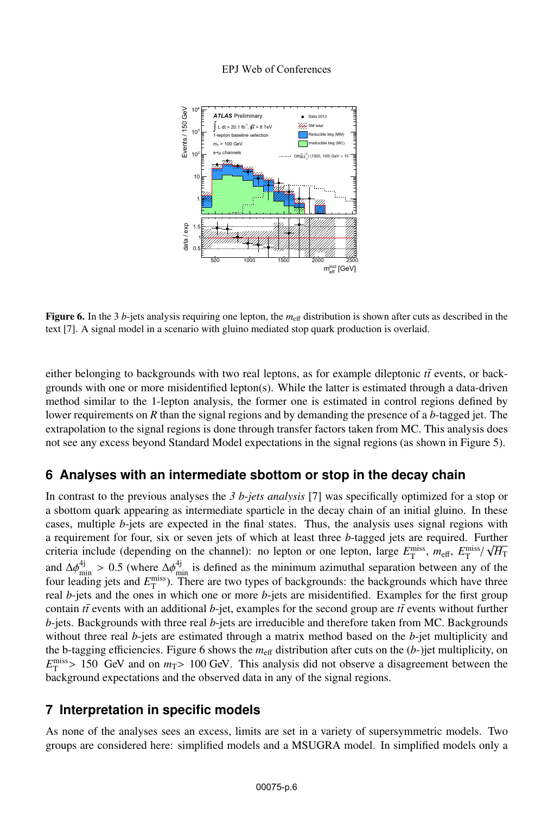#### EPJ Web of Conferences



**Figure 6.** In the 3 *b*-jets analysis requiring one lepton, the  $m_{\text{eff}}$  distribution is shown after cuts as described in the text [7]. A signal model in a scenario with gluino mediated stop quark production is overlaid.

either belonging to backgrounds with two real leptons, as for example dileptonic  $t\bar{t}$  events, or backgrounds with one or more misidentified lepton(s). While the latter is estimated through a data-driven method similar to the 1-lepton analysis, the former one is estimated in control regions defined by lower requirements on *R* than the signal regions and by demanding the presence of a *b*-tagged jet. The extrapolation to the signal regions is done through transfer factors taken from MC. This analysis does not see any excess beyond Standard Model expectations in the signal regions (as shown in Figure 5).

## **6 Analyses with an intermediate sbottom or stop in the decay chain**

In contrast to the previous analyses the *3 b-jets analysis* [7] was specifically optimized for a stop or a sbottom quark appearing as intermediate sparticle in the decay chain of an initial gluino. In these cases, multiple *b*-jets are expected in the final states. Thus, the analysis uses signal regions with a requirement for four, six or seven jets of which at least three *b*-tagged jets are required. Further criteria include (depending on the channel): no lepton or one lepton, large  $E_T^{\text{miss}}$ ,  $m_{\text{eff}}$ ,  $E_T^{\text{miss}}/\sqrt{H_T}$ and  $\Delta\phi_{\text{min}}^{4j} > 0.5$  (where  $\Delta\phi_{\text{min}}^{4j}$  is defined as the minimum azimuthal separation between any of the four leading jets and  $F^{\text{miss}}$ . There are two types of backgrounds; the backgrounds which have three four leading jets and  $E_{\text{T}}^{\text{miss}}$ ). There are two types of backgrounds: the backgrounds which have three real *b*-jets and the ones in which one or more *b*-jets are misidentified. Examples for the first group contain  $t\bar{t}$  events with an additional  $b$ -jet, examples for the second group are  $t\bar{t}$  events without further *b*-jets. Backgrounds with three real *b*-jets are irreducible and therefore taken from MC. Backgrounds without three real *b*-jets are estimated through a matrix method based on the *b*-jet multiplicity and the b-tagging efficiencies. Figure 6 shows the  $m_{\text{eff}}$  distribution after cuts on the  $(b-)$ jet multiplicity, on  $E_{\text{T}}^{\text{miss}} > 150$  GeV and on  $m_T > 100$  GeV. This analysis did not observe a disagreement between the hackground expectations and the observed data in any of the signal regions background expectations and the observed data in any of the signal regions.

## **7 Interpretation in specific models**

As none of the analyses sees an excess, limits are set in a variety of supersymmetric models. Two groups are considered here: simplified models and a MSUGRA model. In simplified models only a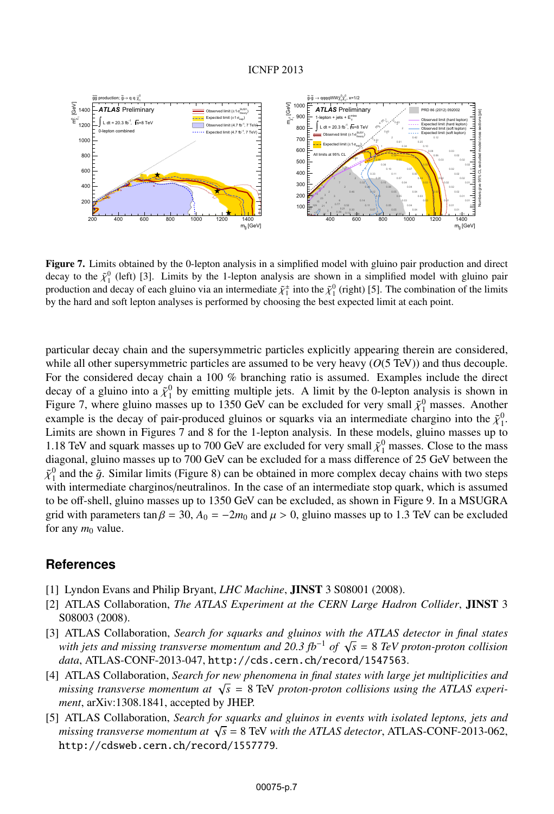

Figure 7. Limits obtained by the 0-lepton analysis in a simplified model with gluino pair production and direct decay to the  $\tilde{\chi}_1^0$  (left) [3]. Limits by the 1-lepton analysis are shown in a simplified model with gluino pair<br>production and decay of each gluino via an intermediate  $\tilde{\chi}^{\pm}$  into the  $\tilde{\chi}^0$  (right) [5]. T production and decay of each gluino via an intermediate  $\tilde{\chi}^{\pm}$  into the  $\tilde{\chi}^0$  (right) [5]. The combination of the limits by the hard and soft lenton analyses is performed by choosing the hest expected limit at by the hard and soft lepton analyses is performed by choosing the best expected limit at each point.

particular decay chain and the supersymmetric particles explicitly appearing therein are considered, while all other supersymmetric particles are assumed to be very heavy (*O*(5 TeV)) and thus decouple. For the considered decay chain a 100 % branching ratio is assumed. Examples include the direct decay of a gluino into a  $\tilde{\chi}_1^0$  by emitting multiple jets. A limit by the 0-lepton analysis is shown in<br>Figure 7, where gluino masses up to 1350 GeV can be excluded for very small  $\tilde{\nu}^0$  masses. Another Figure 7, where gluino masses up to 1350 GeV can be excluded for very small  $\tilde{\chi}_1^0$  masses. Another example is the decay of pair-produced gluinos or squarks via an intermediate chargino into the  $\tilde{\kappa}^0$ example is the decay of pair-produced gluinos or squarks via an intermediate chargino into the  $\tilde{\chi}_1^0$ .<br>I imits are shown in Figures 7 and 8 for the 1-lepton analysis. In these models, gluino masses un to Limits are shown in Figures 7 and 8 for the 1-lepton analysis. In these models, gluino masses up to 1.18 TeV and squark masses up to 700 GeV are excluded for very small  $\tilde{\chi}^0$  masses. Close to the mass<br>diagonal gluino masses up to 700 GeV can be excluded for a mass difference of 25 GeV between the diagonal, gluino masses up to 700 GeV can be excluded for a mass difference of 25 GeV between the  $\tilde{\chi}_1^0$  and the  $\tilde{g}$ . Similar limits (Figure 8) can be obtained in more complex decay chains with two steps with intermediate charginos/neutralinos. In the case of an intermediate stop quark, which is assumed with intermediate charginos/neutralinos. In the case of an intermediate stop quark, which is assumed to be off-shell, gluino masses up to 1350 GeV can be excluded, as shown in Figure 9. In a MSUGRA grid with parameters tan  $\beta = 30$ ,  $A_0 = -2m_0$  and  $\mu > 0$ , gluino masses up to 1.3 TeV can be excluded for any  $m_0$  value.

### **References**

- [1] Lyndon Evans and Philip Bryant, *LHC Machine*, JINST 3 S08001 (2008).
- [2] ATLAS Collaboration, *The ATLAS Experiment at the CERN Large Hadron Collider*, JINST <sup>3</sup> S08003 (2008).
- [3] ATLAS Collaboration, *Search for squarks and gluinos with the ATLAS detector in final states with jets and missing transverse momentum and 20.3 fb*−<sup>1</sup> *of* <sup>√</sup>*<sup>s</sup>* <sup>=</sup> <sup>8</sup> *TeV proton-proton collision data*, ATLAS-CONF-2013-047, http://cds.cern.ch/record/1547563.
- [4] ATLAS Collaboration, *Search for new phenomena in final states with large jet multiplicities and missing transverse momentum at*  $\sqrt{s}$  = 8 TeV *proton-proton collisions using the ATLAS experiment*, arXiv:1308.1841, accepted by JHEP.
- [5] ATLAS Collaboration, *Search for squarks and gluinos in events with isolated leptons, jets and missing transverse momentum at*  $\sqrt{s}$  = 8 TeV *with the ATLAS detector*, ATLAS-CONF-2013-062, http://cdsweb.cern.ch/record/1557779.